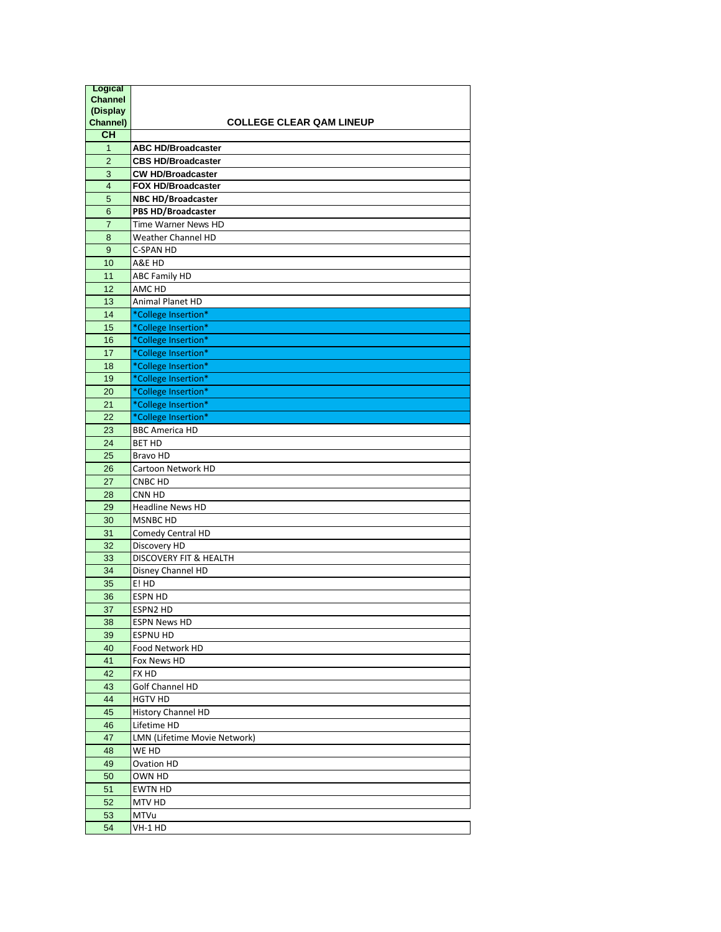| <b>Logical</b>          |                                                        |
|-------------------------|--------------------------------------------------------|
| <b>Channel</b>          |                                                        |
| (Display                |                                                        |
| Channel)<br><b>CH</b>   | <b>COLLEGE CLEAR QAM LINEUP</b>                        |
|                         |                                                        |
| $\mathbf{1}$            | <b>ABC HD/Broadcaster</b>                              |
| $\overline{2}$          | <b>CBS HD/Broadcaster</b>                              |
| 3                       | <b>CW HD/Broadcaster</b>                               |
| $\overline{\mathbf{4}}$ | <b>FOX HD/Broadcaster</b><br><b>NBC HD/Broadcaster</b> |
| 5<br>6                  | <b>PBS HD/Broadcaster</b>                              |
| $\overline{7}$          | Time Warner News HD                                    |
| 8                       | Weather Channel HD                                     |
| 9                       | <b>C-SPAN HD</b>                                       |
| 10                      | A&E HD                                                 |
| 11                      | <b>ABC Family HD</b>                                   |
| 12                      | AMC HD                                                 |
| 13                      | Animal Planet HD                                       |
| 14                      | *College Insertion*                                    |
| 15                      | *College Insertion*                                    |
|                         |                                                        |
| 16<br>17                | *College Insertion*<br>*College Insertion*             |
| 18                      | *College Insertion*                                    |
| 19                      | *College Insertion*                                    |
| 20                      | *College Insertion*                                    |
| 21                      |                                                        |
| 22                      | *College Insertion*                                    |
| 23                      | *College Insertion*                                    |
| 24                      | <b>BBC America HD</b><br><b>BET HD</b>                 |
| 25                      | Bravo HD                                               |
| 26                      | Cartoon Network HD                                     |
| 27                      | CNBC HD                                                |
| 28                      | CNN HD                                                 |
| 29                      | <b>Headline News HD</b>                                |
| 30                      | <b>MSNBC HD</b>                                        |
| 31                      | Comedy Central HD                                      |
| 32                      | Discovery HD                                           |
| 33                      | <b>DISCOVERY FIT &amp; HEALTH</b>                      |
| 34                      | Disney Channel HD                                      |
| 35                      | E! HD                                                  |
| 36                      | <b>ESPN HD</b>                                         |
| 37                      | ESPN2 HD                                               |
| 38                      | <b>ESPN News HD</b>                                    |
| 39                      | <b>ESPNU HD</b>                                        |
| 40                      | Food Network HD                                        |
| 41                      | Fox News HD                                            |
| 42                      | FX HD                                                  |
| 43                      | Golf Channel HD                                        |
| 44                      | <b>HGTV HD</b>                                         |
| 45                      | <b>History Channel HD</b>                              |
| 46                      | Lifetime HD                                            |
| 47                      | LMN (Lifetime Movie Network)                           |
| 48                      | WE HD                                                  |
| 49                      | <b>Ovation HD</b>                                      |
| 50                      | OWN HD                                                 |
| 51                      | <b>EWTN HD</b>                                         |
| 52                      | MTV HD                                                 |
| 53                      | MTVu                                                   |
| 54                      | VH-1 HD                                                |
|                         |                                                        |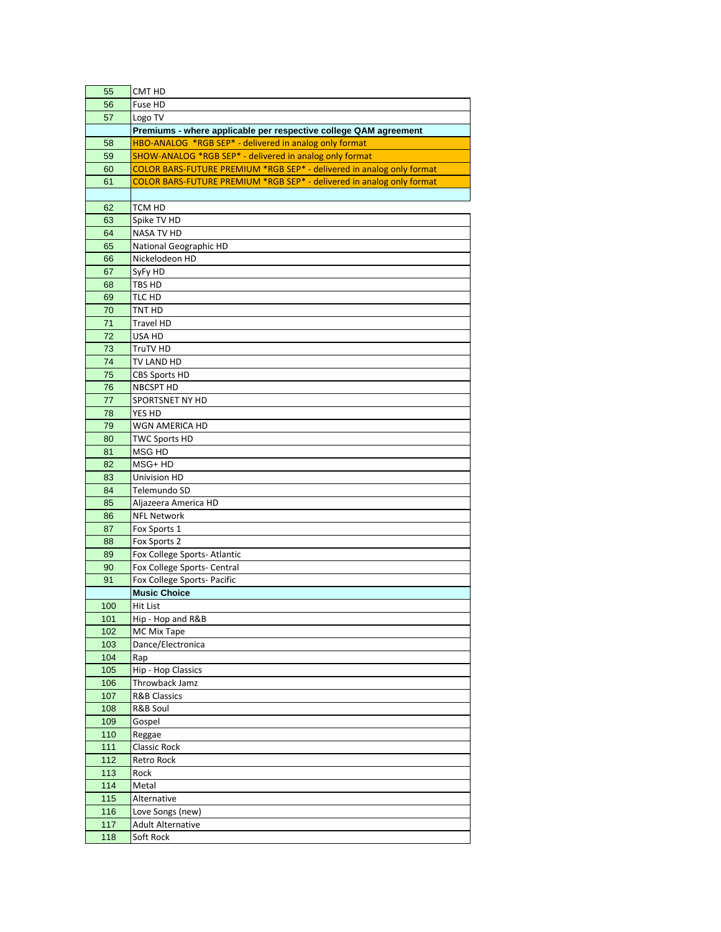| 55  | CMT HD                                                                |
|-----|-----------------------------------------------------------------------|
| 56  | Fuse HD                                                               |
| 57  | Logo TV                                                               |
|     | Premiums - where applicable per respective college QAM agreement      |
| 58  | HBO-ANALOG *RGB SEP* - delivered in analog only format                |
| 59  | SHOW-ANALOG *RGB SEP* - delivered in analog only format               |
| 60  | COLOR BARS-FUTURE PREMIUM *RGB SEP* - delivered in analog only format |
| 61  | COLOR BARS-FUTURE PREMIUM *RGB SEP* - delivered in analog only format |
|     |                                                                       |
| 62  | TCM HD                                                                |
|     |                                                                       |
| 63  | Spike TV HD                                                           |
| 64  | <b>NASA TV HD</b>                                                     |
| 65  | National Geographic HD                                                |
| 66  | Nickelodeon HD                                                        |
| 67  | SyFy HD                                                               |
| 68  | TBS HD                                                                |
| 69  | TLC HD                                                                |
| 70  | TNT HD                                                                |
| 71  | Travel HD                                                             |
| 72  | USA HD                                                                |
| 73  | TruTV HD                                                              |
| 74  | TV LAND HD                                                            |
| 75  | <b>CBS Sports HD</b>                                                  |
| 76  | <b>NBCSPT HD</b>                                                      |
| 77  | SPORTSNET NY HD                                                       |
| 78  | YES HD                                                                |
| 79  | WGN AMERICA HD                                                        |
| 80  | <b>TWC Sports HD</b>                                                  |
| 81  | MSG HD                                                                |
| 82  | MSG+ HD                                                               |
| 83  | Univision HD                                                          |
| 84  | Telemundo SD                                                          |
| 85  | Aljazeera America HD                                                  |
| 86  | <b>NFL Network</b>                                                    |
| 87  | Fox Sports 1                                                          |
|     | Fox Sports 2                                                          |
| 88  |                                                                       |
| 89  | Fox College Sports-Atlantic                                           |
| 90  | Fox College Sports- Central                                           |
| 91  | Fox College Sports- Pacific                                           |
|     | <b>Music Choice</b>                                                   |
| 100 | Hit List                                                              |
| 101 | Hip - Hop and R&B                                                     |
| 102 | MC Mix Tape                                                           |
| 103 | Dance/Electronica                                                     |
| 104 | Rap                                                                   |
| 105 | Hip - Hop Classics                                                    |
| 106 | Throwback Jamz                                                        |
| 107 | <b>R&amp;B Classics</b>                                               |
| 108 | R&B Soul                                                              |
| 109 | Gospel                                                                |
| 110 | Reggae                                                                |
| 111 | Classic Rock                                                          |
| 112 | Retro Rock                                                            |
| 113 | Rock                                                                  |
| 114 | Metal                                                                 |
| 115 | Alternative                                                           |
| 116 | Love Songs (new)                                                      |
| 117 | <b>Adult Alternative</b>                                              |
| 118 | Soft Rock                                                             |
|     |                                                                       |